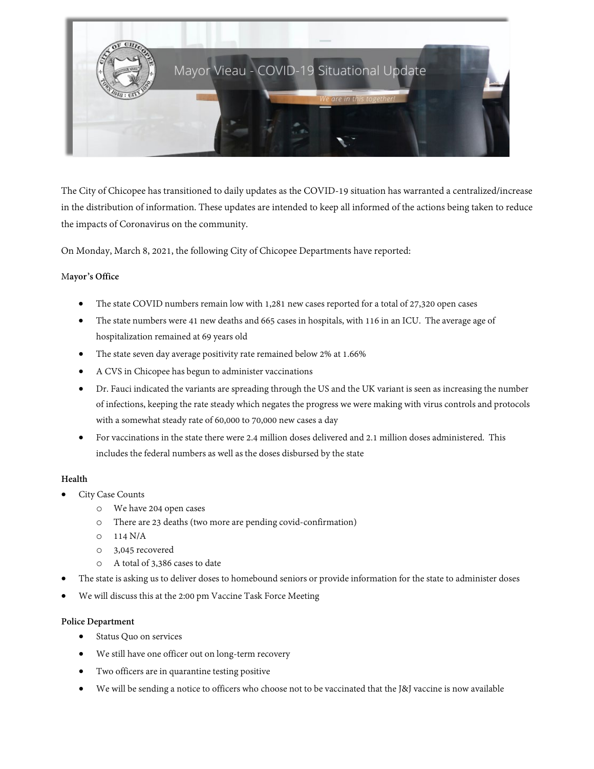

The City of Chicopee has transitioned to daily updates as the COVID-19 situation has warranted a centralized/increase in the distribution of information. These updates are intended to keep all informed of the actions being taken to reduce the impacts of Coronavirus on the community.

On Monday, March 8, 2021, the following City of Chicopee Departments have reported:

### M**ayor's Office**

- The state COVID numbers remain low with 1,281 new cases reported for a total of 27,320 open cases
- The state numbers were 41 new deaths and 665 cases in hospitals, with 116 in an ICU. The average age of hospitalization remained at 69 years old
- The state seven day average positivity rate remained below 2% at 1.66%
- A CVS in Chicopee has begun to administer vaccinations
- Dr. Fauci indicated the variants are spreading through the US and the UK variant is seen as increasing the number of infections, keeping the rate steady which negates the progress we were making with virus controls and protocols with a somewhat steady rate of 60,000 to 70,000 new cases a day
- For vaccinations in the state there were 2.4 million doses delivered and 2.1 million doses administered. This includes the federal numbers as well as the doses disbursed by the state

### **Health**

- City Case Counts
	- o We have 204 open cases
	- o There are 23 deaths (two more are pending covid-confirmation)
	- o 114 N/A
	- o 3,045 recovered
	- o A total of 3,386 cases to date
- The state is asking us to deliver doses to homebound seniors or provide information for the state to administer doses
- We will discuss this at the 2:00 pm Vaccine Task Force Meeting

### **Police Department**

- Status Quo on services
- We still have one officer out on long-term recovery
- Two officers are in quarantine testing positive
- We will be sending a notice to officers who choose not to be vaccinated that the J&J vaccine is now available